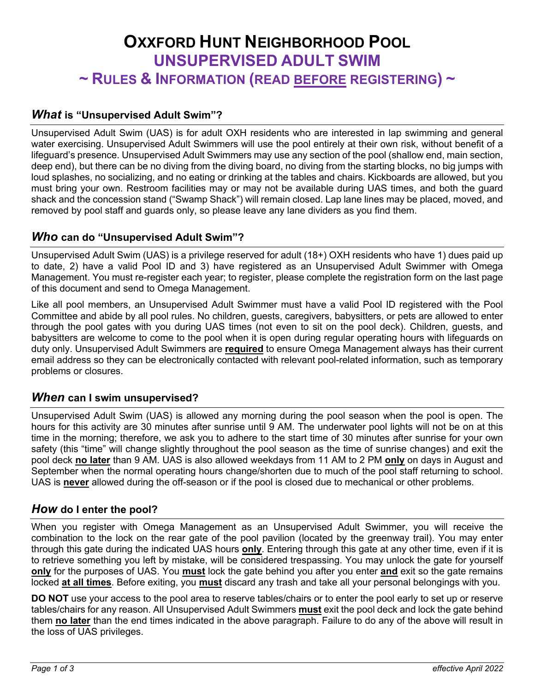# **OXXFORD HUNT NEIGHBORHOOD POOL UNSUPERVISED ADULT SWIM ~ RULES & INFORMATION (READ BEFORE REGISTERING) ~**

# *What* **is "Unsupervised Adult Swim"?**

Unsupervised Adult Swim (UAS) is for adult OXH residents who are interested in lap swimming and general water exercising. Unsupervised Adult Swimmers will use the pool entirely at their own risk, without benefit of a lifeguard's presence. Unsupervised Adult Swimmers may use any section of the pool (shallow end, main section, deep end), but there can be no diving from the diving board, no diving from the starting blocks, no big jumps with loud splashes, no socializing, and no eating or drinking at the tables and chairs. Kickboards are allowed, but you must bring your own. Restroom facilities may or may not be available during UAS times, and both the guard shack and the concession stand ("Swamp Shack") will remain closed. Lap lane lines may be placed, moved, and removed by pool staff and guards only, so please leave any lane dividers as you find them.

# *Who* **can do "Unsupervised Adult Swim"?**

Unsupervised Adult Swim (UAS) is a privilege reserved for adult (18+) OXH residents who have 1) dues paid up to date, 2) have a valid Pool ID and 3) have registered as an Unsupervised Adult Swimmer with Omega Management. You must re-register each year; to register, please complete the registration form on the last page of this document and send to Omega Management.

Like all pool members, an Unsupervised Adult Swimmer must have a valid Pool ID registered with the Pool Committee and abide by all pool rules. No children, guests, caregivers, babysitters, or pets are allowed to enter through the pool gates with you during UAS times (not even to sit on the pool deck). Children, guests, and babysitters are welcome to come to the pool when it is open during regular operating hours with lifeguards on duty only. Unsupervised Adult Swimmers are **required** to ensure Omega Management always has their current email address so they can be electronically contacted with relevant pool-related information, such as temporary problems or closures.

# *When* **can I swim unsupervised?**

Unsupervised Adult Swim (UAS) is allowed any morning during the pool season when the pool is open. The hours for this activity are 30 minutes after sunrise until 9 AM. The underwater pool lights will not be on at this time in the morning; therefore, we ask you to adhere to the start time of 30 minutes after sunrise for your own safety (this "time" will change slightly throughout the pool season as the time of sunrise changes) and exit the pool deck **no later** than 9 AM. UAS is also allowed weekdays from 11 AM to 2 PM **only** on days in August and September when the normal operating hours change/shorten due to much of the pool staff returning to school. UAS is **never** allowed during the off-season or if the pool is closed due to mechanical or other problems.

#### *How* **do I enter the pool?**

When you register with Omega Management as an Unsupervised Adult Swimmer, you will receive the combination to the lock on the rear gate of the pool pavilion (located by the greenway trail). You may enter through this gate during the indicated UAS hours **only**. Entering through this gate at any other time, even if it is to retrieve something you left by mistake, will be considered trespassing. You may unlock the gate for yourself **only** for the purposes of UAS. You **must** lock the gate behind you after you enter **and** exit so the gate remains locked **at all times**. Before exiting, you **must** discard any trash and take all your personal belongings with you.

**DO NOT** use your access to the pool area to reserve tables/chairs or to enter the pool early to set up or reserve tables/chairs for any reason. All Unsupervised Adult Swimmers **must** exit the pool deck and lock the gate behind them **no later** than the end times indicated in the above paragraph. Failure to do any of the above will result in the loss of UAS privileges.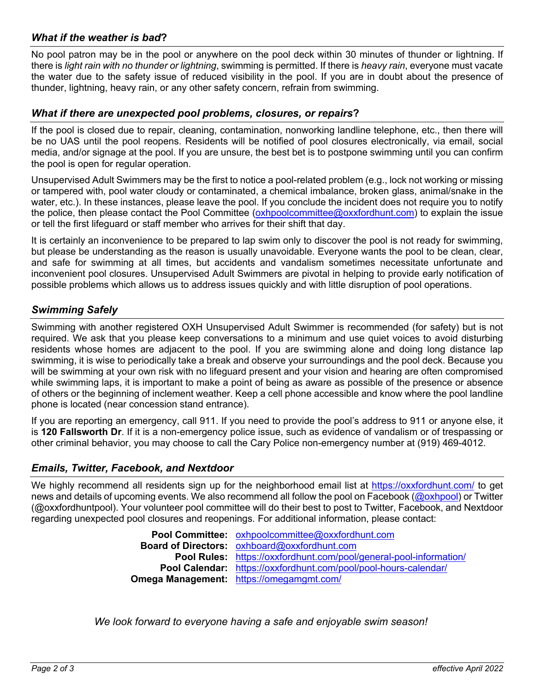## *What if the weather is bad***?**

No pool patron may be in the pool or anywhere on the pool deck within 30 minutes of thunder or lightning. If there is *light rain with no thunder or lightning*, swimming is permitted. If there is *heavy rain*, everyone must vacate the water due to the safety issue of reduced visibility in the pool. If you are in doubt about the presence of thunder, lightning, heavy rain, or any other safety concern, refrain from swimming.

#### *What if there are unexpected pool problems, closures, or repairs***?**

If the pool is closed due to repair, cleaning, contamination, nonworking landline telephone, etc., then there will be no UAS until the pool reopens. Residents will be notified of pool closures electronically, via email, social media, and/or signage at the pool. If you are unsure, the best bet is to postpone swimming until you can confirm the pool is open for regular operation.

Unsupervised Adult Swimmers may be the first to notice a pool-related problem (e.g., lock not working or missing or tampered with, pool water cloudy or contaminated, a chemical imbalance, broken glass, animal/snake in the water, etc.). In these instances, please leave the pool. If you conclude the incident does not require you to notify the police, then please contact the Pool Committee (oxhpoolcommittee@oxxfordhunt.com) to explain the issue or tell the first lifeguard or staff member who arrives for their shift that day.

It is certainly an inconvenience to be prepared to lap swim only to discover the pool is not ready for swimming, but please be understanding as the reason is usually unavoidable. Everyone wants the pool to be clean, clear, and safe for swimming at all times, but accidents and vandalism sometimes necessitate unfortunate and inconvenient pool closures. Unsupervised Adult Swimmers are pivotal in helping to provide early notification of possible problems which allows us to address issues quickly and with little disruption of pool operations.

#### *Swimming Safely*

Swimming with another registered OXH Unsupervised Adult Swimmer is recommended (for safety) but is not required. We ask that you please keep conversations to a minimum and use quiet voices to avoid disturbing residents whose homes are adjacent to the pool. If you are swimming alone and doing long distance lap swimming, it is wise to periodically take a break and observe your surroundings and the pool deck. Because you will be swimming at your own risk with no lifeguard present and your vision and hearing are often compromised while swimming laps, it is important to make a point of being as aware as possible of the presence or absence of others or the beginning of inclement weather. Keep a cell phone accessible and know where the pool landline phone is located (near concession stand entrance).

If you are reporting an emergency, call 911. If you need to provide the pool's address to 911 or anyone else, it is **120 Fallsworth Dr**. If it is a non-emergency police issue, such as evidence of vandalism or of trespassing or other criminal behavior, you may choose to call the Cary Police non-emergency number at (919) 469-4012.

#### *Emails, Twitter, Facebook, and Nextdoor*

We highly recommend all residents sign up for the neighborhood email list at https://oxxfordhunt.com/ to get news and details of upcoming events. We also recommend all follow the pool on Facebook (@oxhpool) or Twitter (@oxxfordhuntpool). Your volunteer pool committee will do their best to post to Twitter, Facebook, and Nextdoor regarding unexpected pool closures and reopenings. For additional information, please contact:

> **Pool Committee:** oxhpoolcommittee@oxxfordhunt.com **Board of Directors:** oxhboard@oxxfordhunt.com **Pool Rules:** https://oxxfordhunt.com/pool/general-pool-information/ **Pool Calendar:** https://oxxfordhunt.com/pool/pool-hours-calendar/ **Omega Management:** https://omegamgmt.com/

*We look forward to everyone having a safe and enjoyable swim season!*